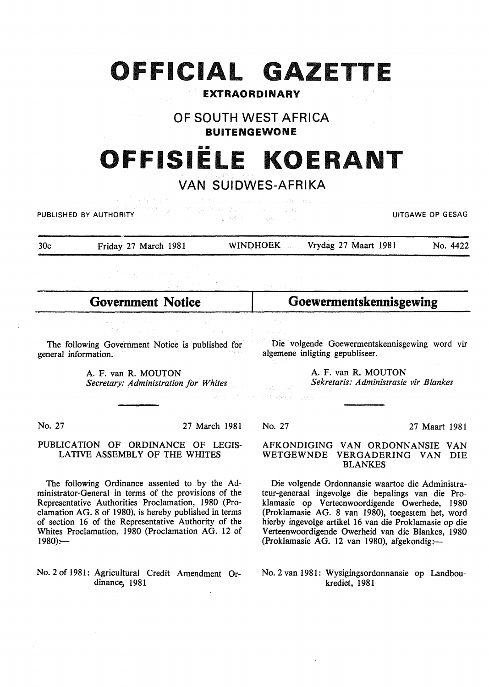## **OFFICIAL GAZETTE**

#### **EXTRAORDINARY**

## **OF SOUTH WEST AFRICA BUITENGEWONE**

# **OFFISIELE KOERANT**

## **VAN SUIDWES-AFRIKA**

**PUBLISHED BY AUTHORITY Example 2008 WE are the second to the second to the contract of the contract of GESAG** 

30c Friday 27 March 1981 WINDHOEK Vrydag 27 Maart 1981 No. 4422

**Government Notice** 

**Goewermentskennisgewing** 

The following Government Notice is published for general information.

> A. F. van R. MOUTON *Secretary: Administration for Whites*

Die volgende Goewermentskennisgewing word vir algemene inligting gepubliseer.

> A. F. van R. MOUTON *Sekretaris: Administrasie vir Blankes*

No. 27 March 1981

#### PUBLICATION OF ORDINANCE OF LEGIS-LATIVE ASSEMBLY OF THE WHITES

The following Ordinance assented to by the Administrator-General in terms of the provisions of the Representative Authorities Proclamation, 1980 (Proclamation AG. 8 of 1980), is hereby published in terms of section 16 of the Representative Authority of the Whites Proclamation, 1980 (Proclamation AG. 12 of  $1980$ ):-

No. 2 of 1981: Agricultural Credit Amendment Ordinance, 1981

John BP  $\mathcal{C}^{\mathcal{C}}\left(\mathcal{A},\mathcal{C}^{\mathcal{C}}\right)$  of Pa (

No. 27 27 Maart 1981

#### AFKONDIGING VAN ORDONNANSIE VAN WETGEWNDE VERGADERING VAN DIE BLANKES

Die volgende Ordonnansie waartoe die Administrateur-generaal ingevolge die bepalings van die Proklamasie op Verteenwoordigende Owerhede, 1980 (Proklamasie AG. 8 van 1980), toegestem bet, word hierby ingevolge artikel 16 van die Proklamasie op die Verteenwoordigende Owerheid van die Blankes, 1980 (Proklamasie AG. 12 van 1980), afgekondig: $-$ 

No.2 van 1981: Wysigingsordonnansie op Landboukrediet, 1981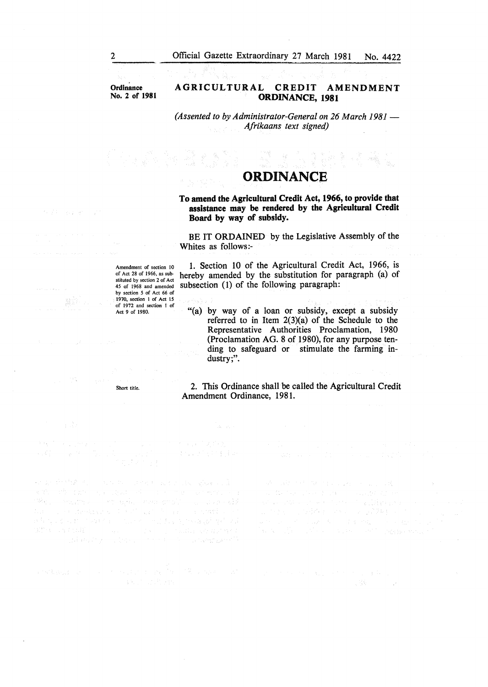**Ordinance** No.2 of 1981

#### AGRICULTURAL CREDIT AMENDMENT ORDINANCE, 1981

*(Assented to by Administrator-General on 26 March 1981 – Afrikaans text signed)* 

## ORDINANCE

23 y

To amend the Agricultural Credit Act, 1966, to provide that assistance may be rendered by the Agricultural Credit Board by way of subsidy.

BE IT ORDAINED by the Legislative Assembly of the Whites as follows:-

Amendment of section 10 of Act 28 of 1966, as substituted by section 2 of Act 45 of 1968 and amended by section *5* of Act 66 of 1970, section I of Act 15 of 1972 and section 1 of Act 9 of 1980.

1. Section 10 of the Agricultural Credit Act, 1966, is hereby amended by the substitution for paragraph (a) of subsection (1) of the following paragraph:

"(a) by way of a loan or subsidy, except a subsidy referred to in Item  $2(3)(a)$  of the Schedule to the Representative Authorities Proclamation, 1980 (Proclamation AG. 8 of 1980), for any purpose tending to safeguard or stimulate the farming industry;".

2. This Ordinance shall be called the Agricultural Credit Amendment Ordinance, 1981.

 $\Delta \sim \sqrt{10}$ 

 $\mathbb{E}[\mathbf{a}_{\mathbf{X}}^{(1)}] = \mathbf{a}_{\mathbf{X},\mathbf{X},\mathbf{X}}^{(1)} \mathbf{a}_{\mathbf{X},\mathbf{X}}^{(2)} \mathbf{a}_{\mathbf{X},\mathbf{X}}^{(1)}$ 太极, 计设计主主题

Short title.

如果 的复数人名 人名英格兰人姓氏尼亚的变体 医心包 

and the co

网络金钱 不精 做 自我的复数形式 最高级人

 $\begin{split} \mathcal{L}^{(1)}(1) &= \mathcal{L}^{(1)}(1) + \mathcal{L}^{(2)}(1) + \mathcal{L}^{(3)}(1) + \mathcal{L}^{(4)}(1) + \mathcal{L}^{(5)}(1) \\ &= \mathcal{L}^{(1)}(1) + \mathcal{L}^{(2)}(1) + \mathcal{L}^{(3)}(1) + \mathcal{L}^{(4)}(1) + \mathcal{L}^{(5)}(1) + \mathcal{L}^{(6)}(1) + \mathcal{L}^{(6)}(1) + \mathcal{L}^{(6)}(1) + \mathcal{L}^{(6)}(1) + \mathcal{$ 

经营销 电复原性电子

and in